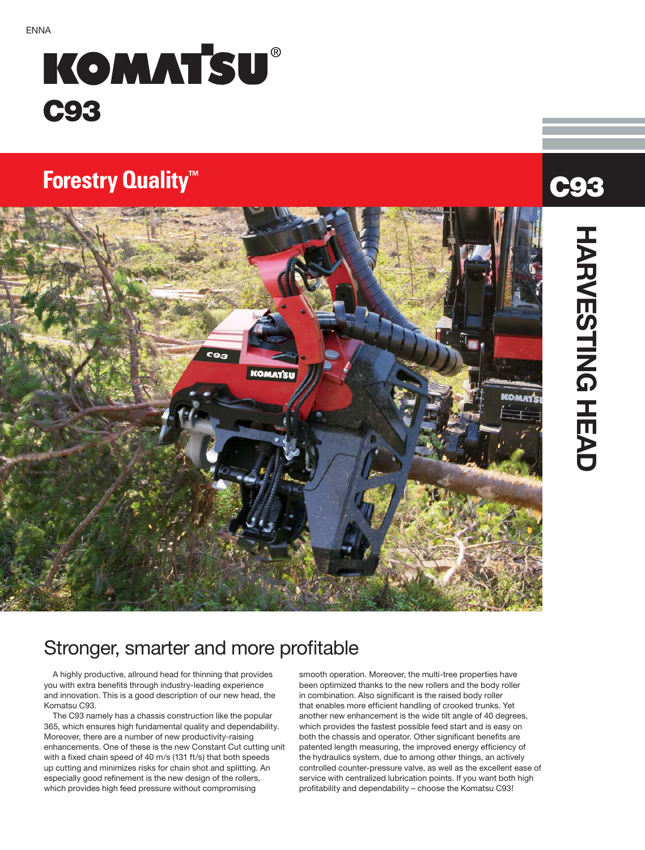# **KOMATSU® C93**

## **Forestry Quality<sup>™</sup>**



#### Stronger, smarter and more profitable

A highly productive, allround head for thinning that provides you with extra benefits through industry-leading experience and innovation. This is a good description of our new head, the Komatsu C93.

The C93 namely has a chassis construction like the popular 365, which ensures high fundamental quality and dependability. Moreover, there are a number of new productivity-raising enhancements. One of these is the new Constant Cut cutting unit with a fixed chain speed of 40 m/s (131 ft/s) that both speeds up cutting and minimizes risks for chain shot and splitting. An especially good refinement is the new design of the rollers, which provides high feed pressure without compromising

smooth operation. Moreover, the multi-tree properties have been optimized thanks to the new rollers and the body roller in combination. Also significant is the raised body roller that enables more efficient handling of crooked trunks. Yet another new enhancement is the wide tilt angle of 40 degrees, which provides the fastest possible feed start and is easy on both the chassis and operator. Other significant benefits are patented length measuring, the improved energy efficiency of the hydraulics system, due to among other things, an actively controlled counter-pressure valve, as well as the excellent ease of service with centralized lubrication points. If you want both high profitability and dependability – choose the Komatsu C93!